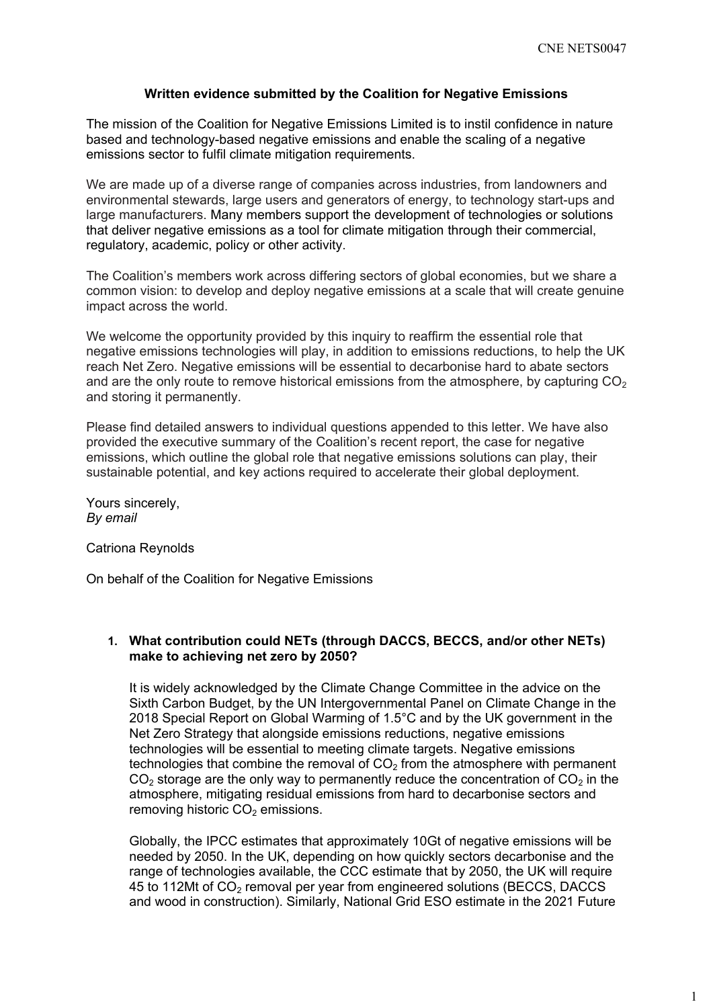#### **Written evidence submitted by the Coalition for Negative Emissions**

The mission of the Coalition for Negative Emissions Limited is to instil confidence in nature based and technology-based negative emissions and enable the scaling of a negative emissions sector to fulfil climate mitigation requirements.

We are made up of a diverse range of companies across industries, from landowners and environmental stewards, large users and generators of energy, to technology start-ups and large manufacturers. Many members support the development of technologies or solutions that deliver negative emissions as a tool for climate mitigation through their commercial, regulatory, academic, policy or other activity.

The Coalition's members work across differing sectors of global economies, but we share a common vision: to develop and deploy negative emissions at a scale that will create genuine impact across the world.

We welcome the opportunity provided by this inquiry to reaffirm the essential role that negative emissions technologies will play, in addition to emissions reductions, to help the UK reach Net Zero. Negative emissions will be essential to decarbonise hard to abate sectors and are the only route to remove historical emissions from the atmosphere, by capturing  $CO<sub>2</sub>$ and storing it permanently.

Please find detailed answers to individual questions appended to this letter. We have also provided the executive summary of the Coalition's recent report, the case for negative emissions, which outline the global role that negative emissions solutions can play, their sustainable potential, and key actions required to accelerate their global deployment.

Yours sincerely, *By email*

Catriona Reynolds

On behalf of the Coalition for Negative Emissions

#### **1. What contribution could NETs (through DACCS, BECCS, and/or other NETs) make to achieving net zero by 2050?**

It is widely acknowledged by the Climate Change Committee in the advice on the Sixth Carbon Budget, by the UN Intergovernmental Panel on Climate Change in the 2018 Special Report on Global Warming of 1.5°C and by the UK government in the Net Zero Strategy that alongside emissions reductions, negative emissions technologies will be essential to meeting climate targets. Negative emissions technologies that combine the removal of  $CO<sub>2</sub>$  from the atmosphere with permanent  $CO<sub>2</sub>$  storage are the only way to permanently reduce the concentration of  $CO<sub>2</sub>$  in the atmosphere, mitigating residual emissions from hard to decarbonise sectors and removing historic  $CO<sub>2</sub>$  emissions.

Globally, the IPCC estimates that approximately 10Gt of negative emissions will be needed by 2050. In the UK, depending on how quickly sectors decarbonise and the range of technologies available, the CCC estimate that by 2050, the UK will require 45 to 112Mt of CO<sup>2</sup> removal per year from engineered solutions (BECCS, DACCS and wood in construction). Similarly, National Grid ESO estimate in the 2021 Future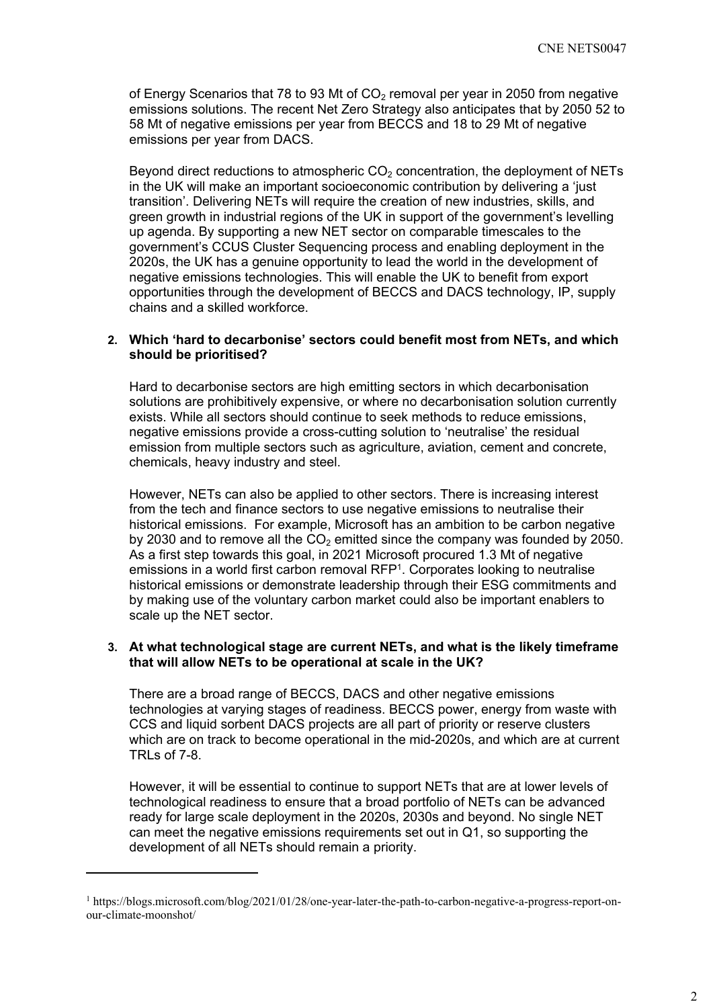of Energy Scenarios that 78 to 93 Mt of  $CO<sub>2</sub>$  removal per year in 2050 from negative emissions solutions. The recent Net Zero Strategy also anticipates that by 2050 52 to 58 Mt of negative emissions per year from BECCS and 18 to 29 Mt of negative emissions per year from DACS.

Beyond direct reductions to atmospheric  $CO<sub>2</sub>$  concentration, the deployment of NETs in the UK will make an important socioeconomic contribution by delivering a 'just transition'. Delivering NETs will require the creation of new industries, skills, and green growth in industrial regions of the UK in support of the government's levelling up agenda. By supporting a new NET sector on comparable timescales to the government's CCUS Cluster Sequencing process and enabling deployment in the 2020s, the UK has a genuine opportunity to lead the world in the development of negative emissions technologies. This will enable the UK to benefit from export opportunities through the development of BECCS and DACS technology, IP, supply chains and a skilled workforce.

#### **2. Which 'hard to decarbonise' sectors could benefit most from NETs, and which should be prioritised?**

Hard to decarbonise sectors are high emitting sectors in which decarbonisation solutions are prohibitively expensive, or where no decarbonisation solution currently exists. While all sectors should continue to seek methods to reduce emissions, negative emissions provide a cross-cutting solution to 'neutralise' the residual emission from multiple sectors such as agriculture, aviation, cement and concrete, chemicals, heavy industry and steel.

However, NETs can also be applied to other sectors. There is increasing interest from the tech and finance sectors to use negative emissions to neutralise their historical emissions. For example, Microsoft has an ambition to be carbon negative by 2030 and to remove all the  $CO<sub>2</sub>$  emitted since the company was founded by 2050. As a first step towards this goal, in 2021 Microsoft procured 1.3 Mt of negative emissions in a world first carbon removal RFP<sup>1</sup>. Corporates looking to neutralise historical emissions or demonstrate leadership through their ESG commitments and by making use of the voluntary carbon market could also be important enablers to scale up the NET sector.

#### **3. At what technological stage are current NETs, and what is the likely timeframe that will allow NETs to be operational at scale in the UK?**

There are a broad range of BECCS, DACS and other negative emissions technologies at varying stages of readiness. BECCS power, energy from waste with CCS and liquid sorbent DACS projects are all part of priority or reserve clusters which are on track to become operational in the mid-2020s, and which are at current TRLs of 7-8.

However, it will be essential to continue to support NETs that are at lower levels of technological readiness to ensure that a broad portfolio of NETs can be advanced ready for large scale deployment in the 2020s, 2030s and beyond. No single NET can meet the negative emissions requirements set out in Q1, so supporting the development of all NETs should remain a priority.

<sup>1</sup> https://blogs.microsoft.com/blog/2021/01/28/one-year-later-the-path-to-carbon-negative-a-progress-report-onour-climate-moonshot/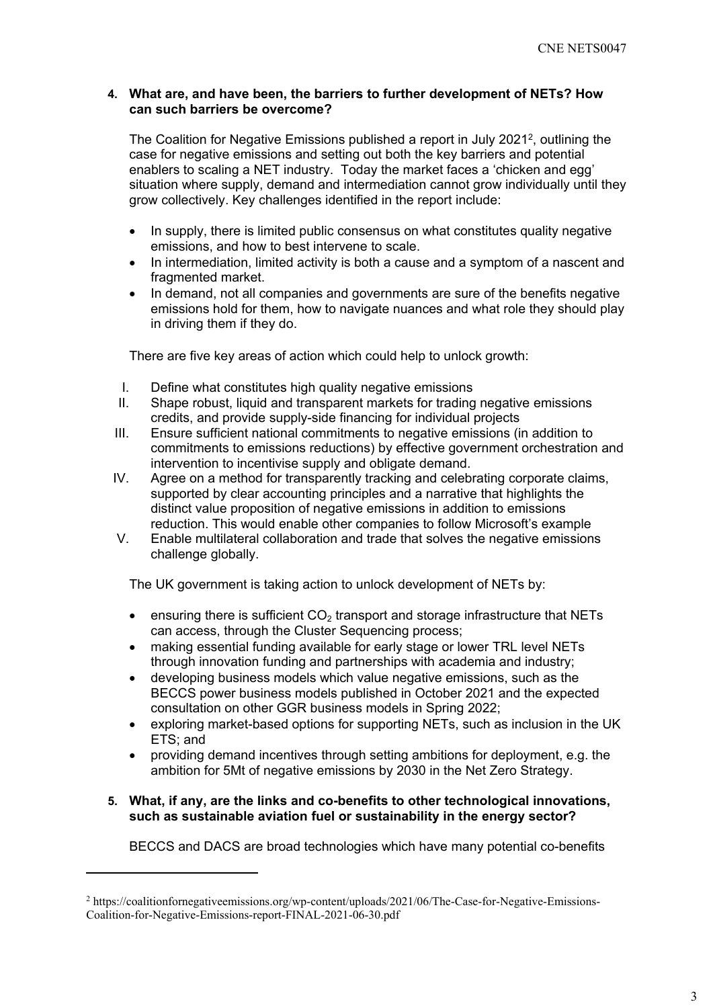## **4. What are, and have been, the barriers to further development of NETs? How can such barriers be overcome?**

The Coalition for Negative Emissions published a report in July 2021<sup>2</sup>, outlining the case for negative emissions and setting out both the key barriers and potential enablers to scaling a NET industry. Today the market faces a 'chicken and egg' situation where supply, demand and intermediation cannot grow individually until they grow collectively. Key challenges identified in the report include:

- In supply, there is limited public consensus on what constitutes quality negative emissions, and how to best intervene to scale.
- In intermediation, limited activity is both a cause and a symptom of a nascent and fragmented market.
- In demand, not all companies and governments are sure of the benefits negative emissions hold for them, how to navigate nuances and what role they should play in driving them if they do.

There are five key areas of action which could help to unlock growth:

- I. Define what constitutes high quality negative emissions
- II. Shape robust, liquid and transparent markets for trading negative emissions credits, and provide supply-side financing for individual projects
- III. Ensure sufficient national commitments to negative emissions (in addition to commitments to emissions reductions) by effective government orchestration and intervention to incentivise supply and obligate demand.
- IV. Agree on a method for transparently tracking and celebrating corporate claims, supported by clear accounting principles and a narrative that highlights the distinct value proposition of negative emissions in addition to emissions reduction. This would enable other companies to follow Microsoft's example
- V. Enable multilateral collaboration and trade that solves the negative emissions challenge globally.

The UK government is taking action to unlock development of NETs by:

- **e** ensuring there is sufficient  $CO<sub>2</sub>$  transport and storage infrastructure that NETs can access, through the Cluster Sequencing process;
- making essential funding available for early stage or lower TRL level NETs through innovation funding and partnerships with academia and industry;
- developing business models which value negative emissions, such as the BECCS power business models published in October 2021 and the expected consultation on other GGR business models in Spring 2022;
- exploring market-based options for supporting NETs, such as inclusion in the UK ETS; and
- providing demand incentives through setting ambitions for deployment, e.g. the ambition for 5Mt of negative emissions by 2030 in the Net Zero Strategy.

## **5. What, if any, are the links and co-benefits to other technological innovations, such as sustainable aviation fuel or sustainability in the energy sector?**

BECCS and DACS are broad technologies which have many potential co-benefits

<sup>2</sup> https://coalitionfornegativeemissions.org/wp-content/uploads/2021/06/The-Case-for-Negative-Emissions-Coalition-for-Negative-Emissions-report-FINAL-2021-06-30.pdf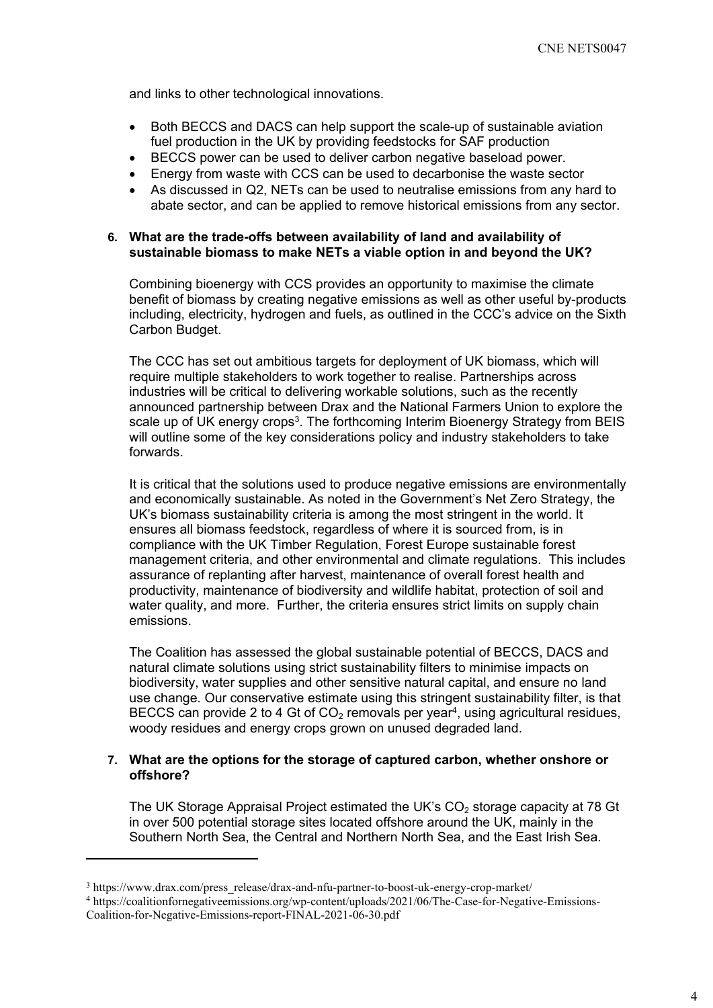and links to other technological innovations.

- Both BECCS and DACS can help support the scale-up of sustainable aviation fuel production in the UK by providing feedstocks for SAF production
- BECCS power can be used to deliver carbon negative baseload power.
- Energy from waste with CCS can be used to decarbonise the waste sector
- As discussed in Q2, NETs can be used to neutralise emissions from any hard to abate sector, and can be applied to remove historical emissions from any sector.

## **6. What are the trade-offs between availability of land and availability of sustainable biomass to make NETs a viable option in and beyond the UK?**

Combining bioenergy with CCS provides an opportunity to maximise the climate benefit of biomass by creating negative emissions as well as other useful by-products including, electricity, hydrogen and fuels, as outlined in the CCC's advice on the Sixth Carbon Budget.

The CCC has set out ambitious targets for deployment of UK biomass, which will require multiple stakeholders to work together to realise. Partnerships across industries will be critical to delivering workable solutions, such as the recently announced partnership between Drax and the National Farmers Union to explore the scale up of UK energy crops<sup>3</sup>. The forthcoming Interim Bioenergy Strategy from BEIS will outline some of the key considerations policy and industry stakeholders to take forwards.

It is critical that the solutions used to produce negative emissions are environmentally and economically sustainable. As noted in the Government's Net Zero Strategy, the UK's biomass sustainability criteria is among the most stringent in the world. It ensures all biomass feedstock, regardless of where it is sourced from, is in compliance with the UK Timber Regulation, Forest Europe sustainable forest management criteria, and other environmental and climate regulations. This includes assurance of replanting after harvest, maintenance of overall forest health and productivity, maintenance of biodiversity and wildlife habitat, protection of soil and water quality, and more. Further, the criteria ensures strict limits on supply chain emissions.

The Coalition has assessed the global sustainable potential of BECCS, DACS and natural climate solutions using strict sustainability filters to minimise impacts on biodiversity, water supplies and other sensitive natural capital, and ensure no land use change. Our conservative estimate using this stringent sustainability filter, is that BECCS can provide 2 to 4 Gt of  $CO<sub>2</sub>$  removals per year<sup>4</sup>, using agricultural residues, woody residues and energy crops grown on unused degraded land.

## **7. What are the options for the storage of captured carbon, whether onshore or offshore?**

The UK Storage Appraisal Project estimated the UK's  $CO<sub>2</sub>$  storage capacity at 78 Gt in over 500 potential storage sites located offshore around the UK, mainly in the Southern North Sea, the Central and Northern North Sea, and the East Irish Sea.

<sup>3</sup> https://www.drax.com/press\_release/drax-and-nfu-partner-to-boost-uk-energy-crop-market/

<sup>4</sup> https://coalitionfornegativeemissions.org/wp-content/uploads/2021/06/The-Case-for-Negative-Emissions-Coalition-for-Negative-Emissions-report-FINAL-2021-06-30.pdf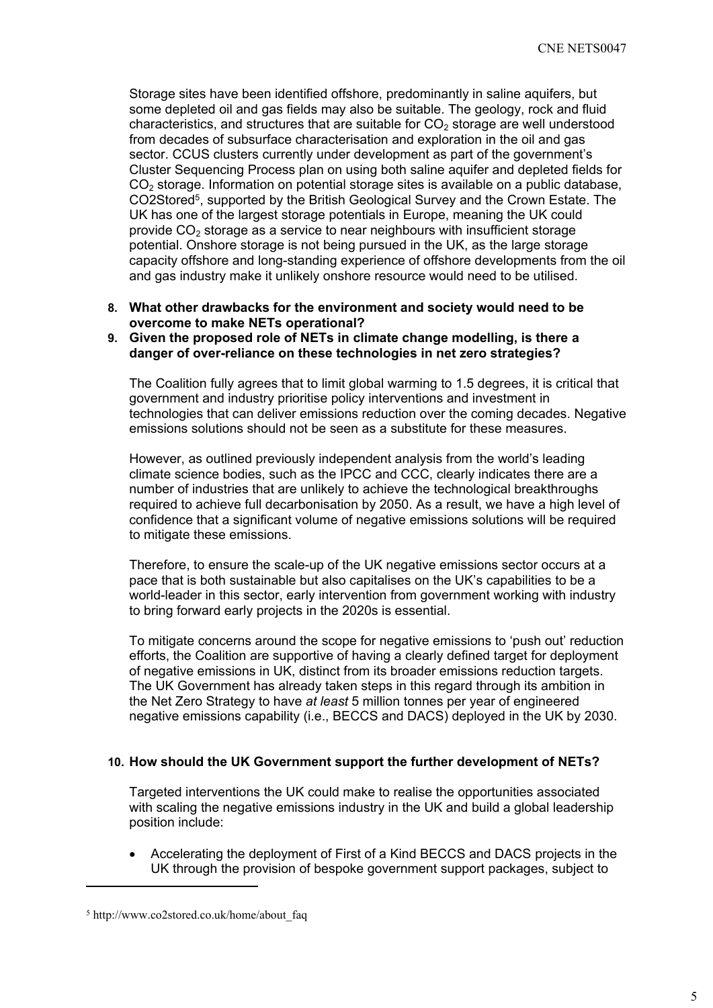Storage sites have been identified offshore, predominantly in saline aquifers, but some depleted oil and gas fields may also be suitable. The geology, rock and fluid characteristics, and structures that are suitable for  $CO<sub>2</sub>$  storage are well understood from decades of subsurface characterisation and exploration in the oil and gas sector. CCUS clusters currently under development as part of the government's Cluster Sequencing Process plan on using both saline aquifer and depleted fields for  $CO<sub>2</sub>$  storage. Information on potential storage sites is available on a public database, CO2Stored<sup>5</sup>, supported by the British Geological Survey and the Crown Estate. The UK has one of the largest storage potentials in Europe, meaning the UK could provide  $CO<sub>2</sub>$  storage as a service to near neighbours with insufficient storage potential. Onshore storage is not being pursued in the UK, as the large storage capacity offshore and long-standing experience of offshore developments from the oil and gas industry make it unlikely onshore resource would need to be utilised.

**8. What other drawbacks for the environment and society would need to be overcome to make NETs operational?**

## **9. Given the proposed role of NETs in climate change modelling, is there a danger of over-reliance on these technologies in net zero strategies?**

The Coalition fully agrees that to limit global warming to 1.5 degrees, it is critical that government and industry prioritise policy interventions and investment in technologies that can deliver emissions reduction over the coming decades. Negative emissions solutions should not be seen as a substitute for these measures.

However, as outlined previously independent analysis from the world's leading climate science bodies, such as the IPCC and CCC, clearly indicates there are a number of industries that are unlikely to achieve the technological breakthroughs required to achieve full decarbonisation by 2050. As a result, we have a high level of confidence that a significant volume of negative emissions solutions will be required to mitigate these emissions.

Therefore, to ensure the scale-up of the UK negative emissions sector occurs at a pace that is both sustainable but also capitalises on the UK's capabilities to be a world-leader in this sector, early intervention from government working with industry to bring forward early projects in the 2020s is essential.

To mitigate concerns around the scope for negative emissions to 'push out' reduction efforts, the Coalition are supportive of having a clearly defined target for deployment of negative emissions in UK, distinct from its broader emissions reduction targets. The UK Government has already taken steps in this regard through its ambition in the Net Zero Strategy to have *at least* 5 million tonnes per year of engineered negative emissions capability (i.e., BECCS and DACS) deployed in the UK by 2030.

#### **10. How should the UK Government support the further development of NETs?**

Targeted interventions the UK could make to realise the opportunities associated with scaling the negative emissions industry in the UK and build a global leadership position include:

 Accelerating the deployment of First of a Kind BECCS and DACS projects in the UK through the provision of bespoke government support packages, subject to

<sup>5</sup> http://www.co2stored.co.uk/home/about\_faq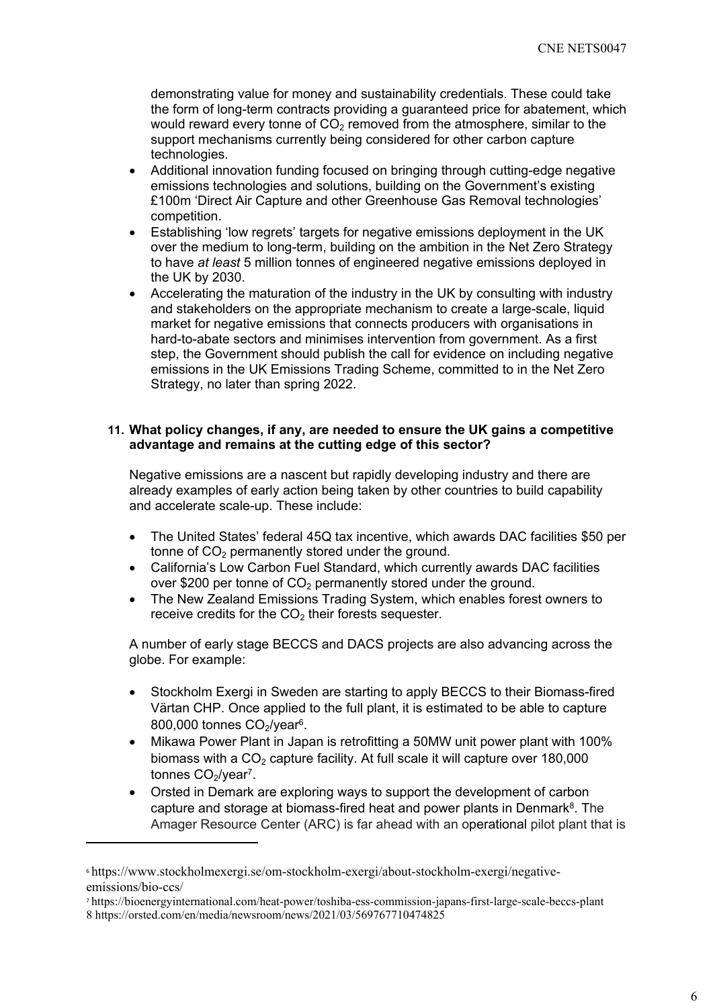demonstrating value for money and sustainability credentials. These could take the form of long-term contracts providing a guaranteed price for abatement, which would reward every tonne of  $CO<sub>2</sub>$  removed from the atmosphere, similar to the support mechanisms currently being considered for other carbon capture technologies.

- Additional innovation funding focused on bringing through cutting-edge negative emissions technologies and solutions, building on the Government's existing £100m 'Direct Air Capture and other Greenhouse Gas Removal technologies' competition.
- Establishing 'low regrets' targets for negative emissions deployment in the UK over the medium to long-term, building on the ambition in the Net Zero Strategy to have *at least* 5 million tonnes of engineered negative emissions deployed in the UK by 2030.
- Accelerating the maturation of the industry in the UK by consulting with industry and stakeholders on the appropriate mechanism to create a large-scale, liquid market for negative emissions that connects producers with organisations in hard-to-abate sectors and minimises intervention from government. As a first step, the Government should publish the call for evidence on including negative emissions in the UK Emissions Trading Scheme, committed to in the Net Zero Strategy, no later than spring 2022.

## **11. What policy changes, if any, are needed to ensure the UK gains a competitive advantage and remains at the cutting edge of this sector?**

Negative emissions are a nascent but rapidly developing industry and there are already examples of early action being taken by other countries to build capability and accelerate scale-up. These include:

- The United States' federal 45Q tax incentive, which awards DAC facilities \$50 per tonne of  $CO<sub>2</sub>$  permanently stored under the ground.
- California's Low Carbon Fuel Standard, which currently awards DAC facilities over \$200 per tonne of  $CO<sub>2</sub>$  permanently stored under the ground.
- The New Zealand Emissions Trading System, which enables forest owners to receive credits for the  $CO<sub>2</sub>$  their forests sequester.

A number of early stage BECCS and DACS projects are also advancing across the globe. For example:

- Stockholm Exergi in Sweden are starting to apply BECCS to their Biomass-fired Värtan CHP. Once applied to the full plant, it is estimated to be able to capture 800,000 tonnes  $CO<sub>2</sub>/year<sup>6</sup>$ .
- Mikawa Power Plant in Japan is retrofitting a 50MW unit power plant with 100% biomass with a  $CO<sub>2</sub>$  capture facility. At full scale it will capture over 180,000 tonnes CO<sub>2</sub>/year<sup>7</sup>.
- Orsted in Demark are exploring ways to support the development of carbon capture and storage at biomass-fired heat and power plants in Denmark<sup>8</sup>. The Amager Resource Center (ARC) is far ahead with an operational pilot plant that is

<sup>6</sup> [https://www.stockholmexergi.se/om-stockholm-exergi/about-stockholm-exergi/negative](https://www.stockholmexergi.se/om-stockholm-exergi/about-stockholm-exergi/negative-emissions/bio-ccs/)[emissions/bio-ccs/](https://www.stockholmexergi.se/om-stockholm-exergi/about-stockholm-exergi/negative-emissions/bio-ccs/)

<sup>7</sup> https://bioenergyinternational.com/heat-power/toshiba-ess-commission-japans-first-large-scale-beccs-plant 8 <https://orsted.com/en/media/newsroom/news/2021/03/569767710474825>